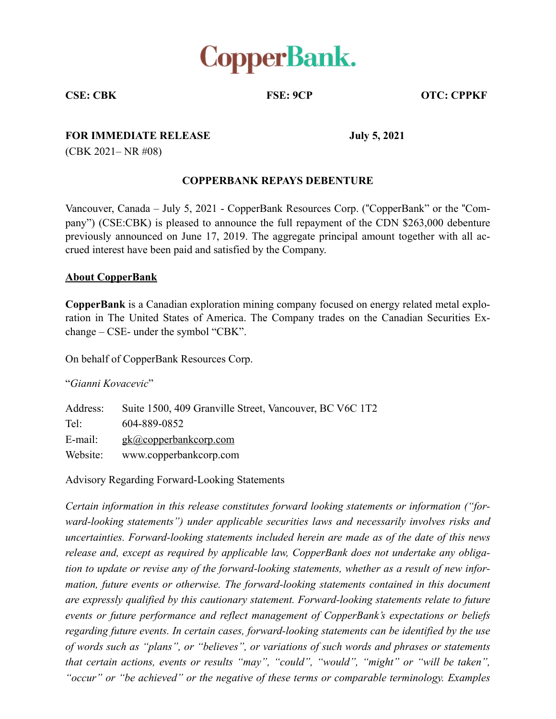

**CSE: CBK FSE: 9CP OTC: CPPKF** 

## **FOR IMMEDIATE RELEASE** July 5, 2021

(CBK 2021– NR #08)

## **COPPERBANK REPAYS DEBENTURE**

Vancouver, Canada – July 5, 2021 - CopperBank Resources Corp. ("CopperBank" or the "Company") (CSE:CBK) is pleased to announce the full repayment of the CDN \$263,000 debenture previously announced on June 17, 2019. The aggregate principal amount together with all accrued interest have been paid and satisfied by the Company.

## **About CopperBank**

**CopperBank** is a Canadian exploration mining company focused on energy related metal exploration in The United States of America. The Company trades on the Canadian Securities Exchange – CSE- under the symbol "CBK".

On behalf of CopperBank Resources Corp.

"*Gianni Kovacevic*"

Address: Suite 1500, 409 Granville Street, Vancouver, BC V6C 1T2 Tel: 604-889-0852 E-mail: gk@copperbankcorp.com Website: www.copperbankcorp.com

Advisory Regarding Forward-Looking Statements

*Certain information in this release constitutes forward looking statements or information ("forward-looking statements") under applicable securities laws and necessarily involves risks and uncertainties. Forward-looking statements included herein are made as of the date of this news release and, except as required by applicable law, CopperBank does not undertake any obligation to update or revise any of the forward-looking statements, whether as a result of new information, future events or otherwise. The forward-looking statements contained in this document are expressly qualified by this cautionary statement. Forward-looking statements relate to future events or future performance and reflect management of CopperBank's expectations or beliefs regarding future events. In certain cases, forward-looking statements can be identified by the use of words such as "plans", or "believes", or variations of such words and phrases or statements that certain actions, events or results "may", "could", "would", "might" or "will be taken", "occur" or "be achieved" or the negative of these terms or comparable terminology. Examples*